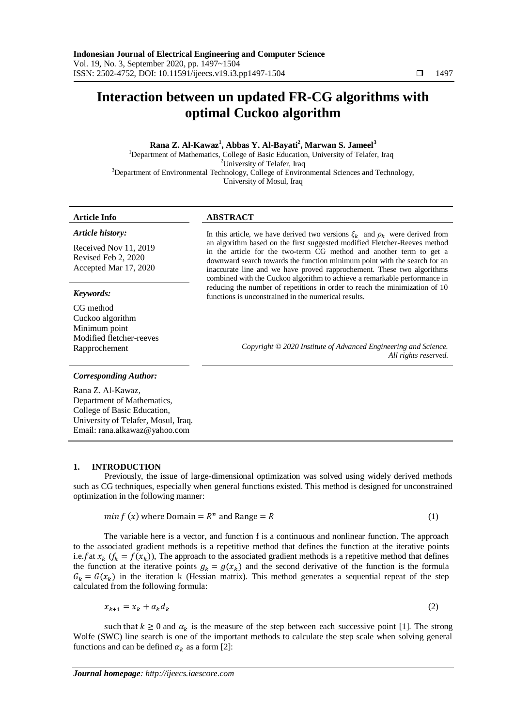# **Interaction between un updated FR-CG algorithms with optimal Cuckoo algorithm**

**Rana Z. Al-Kawaz<sup>1</sup> , Abbas Y. Al-Bayati<sup>2</sup> , Marwan S. Jameel<sup>3</sup>** <sup>1</sup>Department of Mathematics, College of Basic Education, University of Telafer, Iraq <sup>2</sup>University of Telafer, Iraq <sup>3</sup>Department of Environmental Technology, College of Environmental Sciences and Technology, University of Mosul, Iraq

# **Article Info ABSTRACT**

*Article history:*

Received Nov 11, 2019 Revised Feb 2, 2020 Accepted Mar 17, 2020

CG method Cuckoo algorithm Minimum point Modified fletcher-reeves

In this article, we have derived two versions  $\xi_k$  and  $\rho_k$  were derived from an algorithm based on the first suggested modified Fletcher-Reeves method in the article for the two-term CG method and another term to get a downward search towards the function minimum point with the search for an inaccurate line and we have proved rapprochement. These two algorithms combined with the Cuckoo algorithm to achieve a remarkable performance in reducing the number of repetitions in order to reach the minimization of 10 *Keywords:* **functions** is unconstrained in the numerical results.

Rapprochement *Copyright © 2020 Institute of Advanced Engineering and Science. All rights reserved.*

### *Corresponding Author:*

Rana Z. Al-Kawaz, Department of Mathematics, College of Basic Education, University of Telafer, Mosul, Iraq. Email: rana.alkawaz@yahoo.com

#### **1. INTRODUCTION**

Previously, the issue of large-dimensional optimization was solved using widely derived methods such as CG techniques, especially when general functions existed. This method is designed for unconstrained optimization in the following manner:

$$
min f(x) where Domain = Rn and Range = R
$$
\n(1)

The variable here is a vector, and function f is a continuous and nonlinear function. The approach to the associated gradient methods is a repetitive method that defines the function at the iterative points i.e. f at  $x_k$   $(f_k = f(x_k))$ , The approach to the associated gradient methods is a repetitive method that defines the function at the iterative points  $g_k = g(x_k)$  and the second derivative of the function is the formula  $G_k = G(x_k)$  in the iteration k (Hessian matrix). This method generates a sequential repeat of the step calculated from the following formula:

$$
x_{k+1} = x_k + a_k d_k \tag{2}
$$

such that  $k \ge 0$  and  $\alpha_k$  is the measure of the step between each successive point [1]. The strong Wolfe (SWC) line search is one of the important methods to calculate the step scale when solving general functions and can be defined  $\alpha_k$  as a form [2]: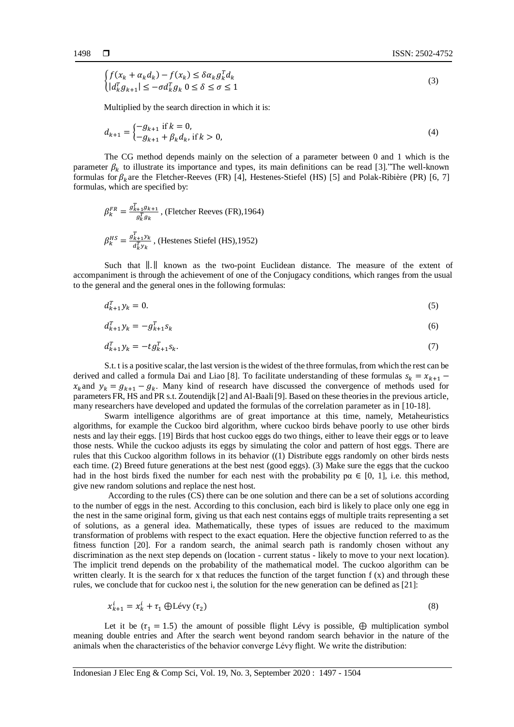$$
\begin{cases}\nf(x_k + \alpha_k d_k) - f(x_k) \le \delta \alpha_k g_k^T d_k \\
|d_k^T g_{k+1}| \le -\sigma d_k^T g_k \quad 0 \le \delta \le \sigma \le 1\n\end{cases} \tag{3}
$$

Multiplied by the search direction in which it is:

$$
d_{k+1} = \begin{cases} -g_{k+1} & \text{if } k = 0, \\ -g_{k+1} + \beta_k d_k, & \text{if } k > 0, \end{cases}
$$
 (4)

The CG method depends mainly on the selection of a parameter between 0 and 1 which is the parameter  $\beta_k$  to illustrate its importance and types, its main definitions can be read [3]. The well-known formulas for  $\beta_k$  are the Fletcher-Reeves (FR) [4], Hestenes-Stiefel (HS) [5] and Polak-Ribière (PR) [6, 7] formulas, which are specified by:

$$
\beta_k^{FR} = \frac{g_{k+1}^T g_{k+1}}{g_k^T g_k}, \text{ (Fletcher Reeves (FR), 1964)}
$$
\n
$$
\beta_k^{HS} = \frac{g_{k+1}^T y_k}{g_k^T y_k}, \text{ (Hestenes Stiefel (HS), 1952)}
$$

Such that  $\Vert . \Vert$  known as the two-point Euclidean distance. The measure of the extent of accompaniment is through the achievement of one of the Conjugacy conditions, which ranges from the usual to the general and the general ones in the following formulas:

$$
d_{k+1}^T y_k = 0. \tag{5}
$$

$$
d_{k+1}^T y_k = -g_{k+1}^T s_k \tag{6}
$$

$$
d_{k+1}^T y_k = -t g_{k+1}^T s_k. \tag{7}
$$

S.t. t is a positive scalar, the last version is the widest of the three formulas, from which the rest can be derived and called a formula Dai and Liao [8]. To facilitate understanding of these formulas  $s_k = x_{k+1}$  $x_k$  and  $y_k = g_{k+1} - g_k$ . Many kind of research have discussed the convergence of methods used for parameters FR, HS and PR s.t. Zoutendijk [2] and Al-Baali [9]. Based on these theories in the previous article, many researchers have developed and updated the formulas of the correlation parameter as in [10-18].

Swarm intelligence algorithms are of great importance at this time, namely, Metaheuristics algorithms, for example the Cuckoo bird algorithm, where cuckoo birds behave poorly to use other birds nests and lay their eggs. [19] Birds that host cuckoo eggs do two things, either to leave their eggs or to leave those nests. While the cuckoo adjusts its eggs by simulating the color and pattern of host eggs. There are rules that this Cuckoo algorithm follows in its behavior ((1) Distribute eggs randomly on other birds nests each time. (2) Breed future generations at the best nest (good eggs). (3) Make sure the eggs that the cuckoo had in the host birds fixed the number for each nest with the probability  $p\alpha \in [0, 1]$ , i.e. this method, give new random solutions and replace the nest host.

According to the rules (CS) there can be one solution and there can be a set of solutions according to the number of eggs in the nest. According to this conclusion, each bird is likely to place only one egg in the nest in the same original form, giving us that each nest contains eggs of multiple traits representing a set of solutions, as a general idea. Mathematically, these types of issues are reduced to the maximum transformation of problems with respect to the exact equation. Here the objective function referred to as the fitness function [20]. For a random search, the animal search path is randomly chosen without any discrimination as the next step depends on (location - current status - likely to move to your next location). The implicit trend depends on the probability of the mathematical model. The cuckoo algorithm can be written clearly. It is the search for x that reduces the function of the target function  $f(x)$  and through these rules, we conclude that for cuckoo nest i, the solution for the new generation can be defined as [21]:

$$
x_{k+1}^i = x_k^i + \tau_1 \bigoplus \text{Lévy} \, (\tau_2) \tag{8}
$$

Let it be  $(\tau_1 = 1.5)$  the amount of possible flight Lévy is possible,  $\oplus$  multiplication symbol meaning double entries and After the search went beyond random search behavior in the nature of the animals when the characteristics of the behavior converge Lévy flight. We write the distribution: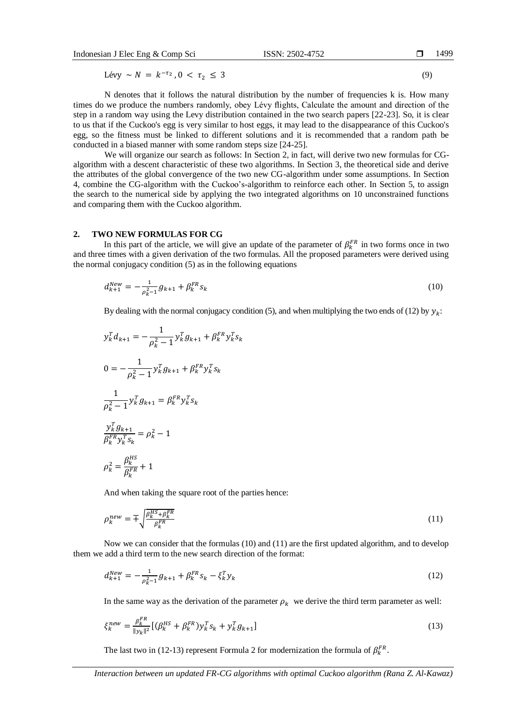1499

$$
Lévy \sim N = k^{-\tau_2}, 0 < \tau_2 \leq 3 \tag{9}
$$

N denotes that it follows the natural distribution by the number of frequencies k is. How many times do we produce the numbers randomly, obey Lévy flights, Calculate the amount and direction of the step in a random way using the Levy distribution contained in the two search papers [22-23]. So, it is clear to us that if the Cuckoo's egg is very similar to host eggs, it may lead to the disappearance of this Cuckoo's egg, so the fitness must be linked to different solutions and it is recommended that a random path be conducted in a biased manner with some random steps size [24-25].

We will organize our search as follows: In Section 2, in fact, will derive two new formulas for CGalgorithm with a descent characteristic of these two algorithms. In Section 3, the theoretical side and derive the attributes of the global convergence of the two new CG-algorithm under some assumptions. In Section 4, combine the CG-algorithm with the Cuckoo's-algorithm to reinforce each other. In Section 5, to assign the search to the numerical side by applying the two integrated algorithms on 10 unconstrained functions and comparing them with the Cuckoo algorithm.

# **2. TWO NEW FORMULAS FOR CG**

In this part of the article, we will give an update of the parameter of  $\beta_k^{FR}$  in two forms once in two and three times with a given derivation of the two formulas. All the proposed parameters were derived using the normal conjugacy condition (5) as in the following equations

$$
d_{k+1}^{New} = -\frac{1}{\rho_k^2 - 1} g_{k+1} + \beta_k^{FR} s_k
$$
\n(10)

By dealing with the normal conjugacy condition (5), and when multiplying the two ends of (12) by  $y_k$ :

$$
y_k^T d_{k+1} = -\frac{1}{\rho_k^2 - 1} y_k^T g_{k+1} + \beta_k^{FR} y_k^T s_k
$$
  
\n
$$
0 = -\frac{1}{\rho_k^2 - 1} y_k^T g_{k+1} + \beta_k^{FR} y_k^T s_k
$$
  
\n
$$
\frac{1}{\rho_k^2 - 1} y_k^T g_{k+1} = \beta_k^{FR} y_k^T s_k
$$
  
\n
$$
\frac{y_k^T g_{k+1}}{\rho_k^{FR} y_k^T s_k} = \rho_k^2 - 1
$$
  
\n
$$
\rho_k^2 = \frac{\beta_k^{HS}}{\beta_k^{FR}} + 1
$$

And when taking the square root of the parties hence:

$$
\rho_k^{new} = \pm \sqrt{\frac{\beta_k^{HS} + \beta_k^{FR}}{\beta_k^{FR}}}
$$
\n(11)

Now we can consider that the formulas (10) and (11) are the first updated algorithm, and to develop them we add a third term to the new search direction of the format:

$$
d_{k+1}^{New} = -\frac{1}{\rho_k^2 - 1} g_{k+1} + \beta_k^{FR} s_k - \xi_k^T y_k
$$
\n(12)

In the same way as the derivation of the parameter  $\rho_k$  we derive the third term parameter as well:

$$
\xi_k^{new} = \frac{\beta_k^{FR}}{\|y_k\|^2} \left[ (\beta_k^{HS} + \beta_k^{FR}) y_k^T s_k + y_k^T g_{k+1} \right] \tag{13}
$$

The last two in (12-13) represent Formula 2 for modernization the formula of  $\beta_k^{FR}$ .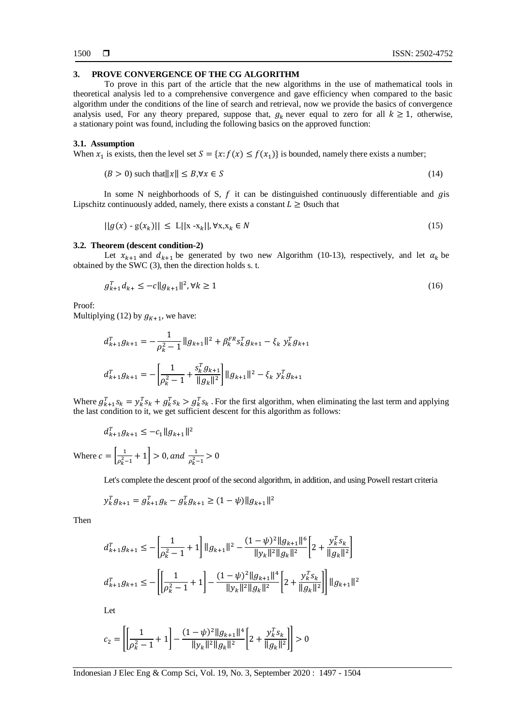# **3. PROVE CONVERGENCE OF THE CG ALGORITHM**

To prove in this part of the article that the new algorithms in the use of mathematical tools in theoretical analysis led to a comprehensive convergence and gave efficiency when compared to the basic algorithm under the conditions of the line of search and retrieval, now we provide the basics of convergence analysis used, For any theory prepared, suppose that,  $g_k$  never equal to zero for all  $k \ge 1$ , otherwise, a stationary point was found, including the following basics on the approved function:

#### **3.1. Assumption**

When  $x_1$  is exists, then the level set  $S = \{x : f(x) \le f(x_1)\}$  is bounded, namely there exists a number;

$$
(B > 0) \text{ such that } ||x|| \le B, \forall x \in S
$$
\n
$$
(14)
$$

In some N neighborhoods of S,  $f$  it can be distinguished continuously differentiable and gis Lipschitz continuously added, namely, there exists a constant  $L \geq 0$  such that

$$
||g(x) - g(x_k)|| \le L||x - x_k||, \forall x, x_k \in N
$$
\n(15)

### **3.2. Theorem (descent condition-2)**

Let  $x_{k+1}$  and  $d_{k+1}$  be generated by two new Algorithm (10-13), respectively, and let  $\alpha_k$  be obtained by the SWC (3), then the direction holds s. t.

$$
g_{k+1}^T d_{k+} \le -c \|g_{k+1}\|^2, \forall k \ge 1
$$
\n(16)

Proof:

Multiplying (12) by  $g_{K+1}$ , we have:

$$
d_{k+1}^T g_{k+1} = -\frac{1}{\rho_k^2 - 1} \|g_{k+1}\|^2 + \beta_k^{FR} s_k^T g_{k+1} - \xi_k y_k^T g_{k+1}
$$

$$
d_{k+1}^T g_{k+1} = -\left[\frac{1}{\rho_k^2 - 1} + \frac{s_k^T g_{k+1}}{\|g_k\|^2}\right] \|g_{k+1}\|^2 - \xi_k y_k^T g_{k+1}
$$

Where  $g_{k+1}^T s_k = y_k^T s_k + g_k^T s_k > g_k^T s_k$ . For the first algorithm, when eliminating the last term and applying the last condition to it, we get sufficient descent for this algorithm as follows:

$$
d_{k+1}^T g_{k+1} \le -c_1 \|g_{k+1}\|^2
$$

Where  $c = \frac{1}{2}$  $\frac{1}{\rho_k^2-1}+1\geq 0$ , and  $\frac{1}{\rho_k^2-1}$ 

Let's complete the descent proof of the second algorithm, in addition, and using Powell restart criteria

$$
y_k^T g_{k+1} = g_{k+1}^T g_k - g_k^T g_{k+1} \ge (1 - \psi) \|g_{k+1}\|^2
$$

Then

$$
d_{k+1}^T g_{k+1} \le -\left[\frac{1}{\rho_k^2 - 1} + 1\right] \|g_{k+1}\|^2 - \frac{(1 - \psi)^2 \|g_{k+1}\|^6}{\|y_k\|^2 \|g_k\|^2} \left[2 + \frac{y_k^T s_k}{\|g_k\|^2}\right]
$$
  

$$
d_{k+1}^T g_{k+1} \le -\left[\frac{1}{\rho_k^2 - 1} + 1\right] - \frac{(1 - \psi)^2 \|g_{k+1}\|^4}{\|y_k\|^2 \|g_k\|^2} \left[2 + \frac{y_k^T s_k}{\|g_k\|^2}\right] \|g_{k+1}\|^2
$$

Let

$$
c_2 = \left[\left[\frac{1}{\rho_k^2-1}+1\right]-\frac{(1-\psi)^2\|g_{k+1}\|^4}{\|y_k\|^2\|g_k\|^2}\left[2+\frac{y_k^Ts_k}{\|g_k\|^2}\right]\right]>0
$$

Indonesian J Elec Eng & Comp Sci, Vol. 19, No. 3, September 2020 : 1497 - 1504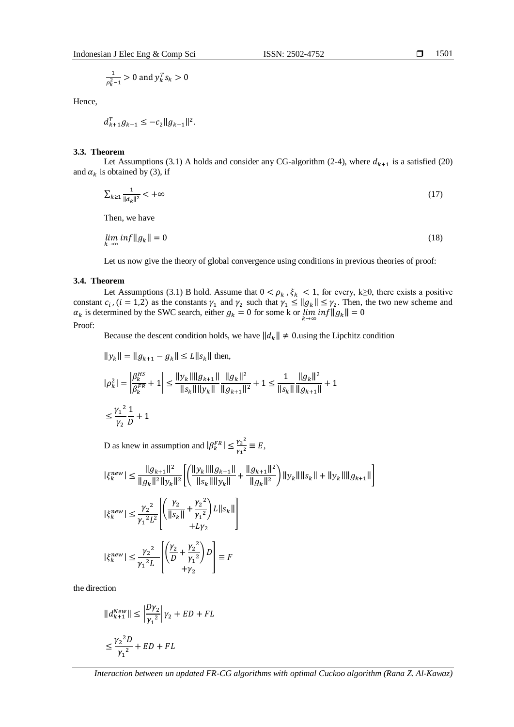# 1501

$$
\frac{1}{\rho_k^2 - 1} > 0
$$
 and 
$$
y_k^T s_k > 0
$$

Hence,

$$
d_{k+1}^T g_{k+1} \le -c_2 \|g_{k+1}\|^2.
$$

#### **3.3. Theorem**

Let Assumptions (3.1) A holds and consider any CG-algorithm (2-4), where  $d_{k+1}$  is a satisfied (20) and  $\alpha_k$  is obtained by (3), if

$$
\sum_{k\geq 1} \frac{1}{\|d_k\|^2} < +\infty \tag{17}
$$

Then, we have

$$
\lim_{k \to \infty} \inf \|g_k\| = 0 \tag{18}
$$

Let us now give the theory of global convergence using conditions in previous theories of proof:

# **3.4. Theorem**

Let Assumptions (3.1) B hold. Assume that  $0 < \rho_k$ ,  $\xi_k < 1$ , for every, k≥0, there exists a positive constant  $c_i$ ,  $(i = 1,2)$  as the constants  $\gamma_1$  and  $\gamma_2$  such that  $\gamma_1 \le ||g_k|| \le \gamma_2$ . Then, the two new scheme and  $\alpha_k$  is determined by the SWC search, either  $g_k = 0$  for some k or  $\lim_{k \to \infty} inf||g_k|| =$ Proof:

Because the descent condition holds, we have  $||d_k|| \neq 0$  using the Lipchitz condition

$$
||y_k|| = ||g_{k+1} - g_k|| \le L ||s_k||
$$
 then,  

$$
|\rho_k^2| = \left| \frac{\beta_k^{HS}}{\beta_k^{FR}} + 1 \right| \le \frac{||y_k|| ||g_{k+1}||}{||s_k|| ||y_k||} \frac{||g_k||^2}{||g_{k+1}||^2} + 1 \le \frac{1}{||s_k||} \frac{||g_k||^2}{||g_{k+1}||} + 1
$$
  

$$
\le \frac{\gamma_1^2}{\gamma_2} \frac{1}{D} + 1
$$

D as knew in assumption and  $|\beta_k^{FR}| \leq \frac{\gamma_2^2}{\gamma_2^2}$  $\frac{r_2}{\gamma_1^2} \equiv E,$ 

$$
\begin{aligned} |\xi_k^{new}| &\leq \frac{||g_{k+1}||^2}{||g_k||^2||y_k||^2} \Biggl[ \Biggl( \frac{||y_k||||g_{k+1}||}{||s_k||||y_k||} + \frac{||g_{k+1}||^2}{||g_k||^2} \Biggr) ||y_k||||s_k|| + ||y_k||||g_{k+1}|| \Biggr] \\ |\xi_k^{new}| &\leq \frac{\gamma_2^2}{\gamma_1^2 L^2} \Biggl[ \Biggl( \frac{\gamma_2}{||s_k||} + \frac{\gamma_2^2}{\gamma_1^2} \Biggr) L ||s_k|| \Biggr] \\ |\xi_k^{new}| &\leq \frac{\gamma_2^2}{\gamma_1^2 L} \Biggl[ \Biggl( \frac{\gamma_2}{D} + \frac{\gamma_2^2}{\gamma_1^2} \Biggr) D \Biggr] \equiv F \\ \end{aligned}
$$

the direction

$$
||d_{k+1}^{New}|| \le \left|\frac{D\gamma_2}{\gamma_1^2}\right| \gamma_2 + ED + FL
$$
  

$$
\le \frac{{\gamma_2}^2 D}{{\gamma_1}^2} + ED + FL
$$

*Interaction between un updated FR-CG algorithms with optimal Cuckoo algorithm (Rana Z. Al-Kawaz)*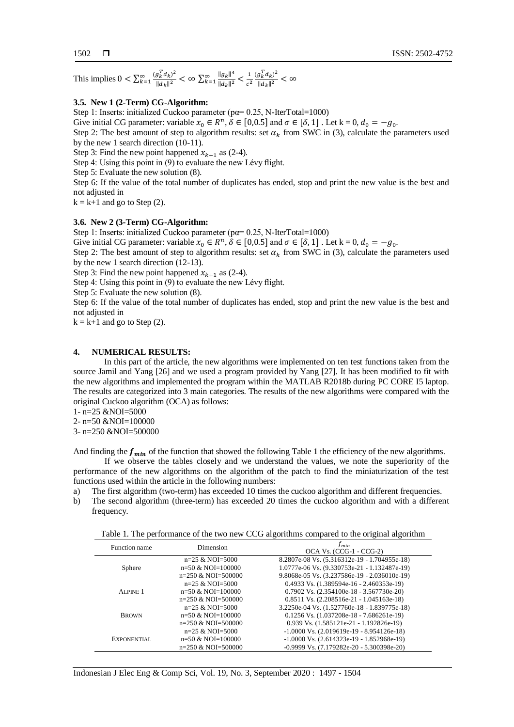This implies  $0 < \sum_{k=1}^{\infty} \frac{(g_k^T d_k)^2}{\ln 2}$  $\sum_{k=1}^{\infty} \frac{(g_k^T d_k)^2}{\|d_k\|^2} < \infty$   $\sum_{k=1}^{\infty} \frac{\|g_k\|^4}{\|d_k\|^2}$  $\frac{10k}{k}$ <br> $k = 1 \frac{1}{\|d_k\|^2}$  $\mathbf{1}$  $c<sup>2</sup>$  $(g_k^T d_k)^2$  $\frac{g_k u_{k}}{\|d_k\|^2} < \infty$ 

# **3.5. New 1 (2-Term) CG-Algorithm:**

Step 1: Inserts: initialized Cuckoo parameter (pα= 0.25, N-IterTotal=1000)

Give initial CG parameter: variable  $x_0 \in R^n$ ,  $\delta \in [0,0.5]$  and  $\sigma \in [\delta, 1]$ . Let  $k = 0$ ,  $d_0 = -g_0$ .

Step 2: The best amount of step to algorithm results: set  $\alpha_k$  from SWC in (3), calculate the parameters used by the new 1 search direction (10-11).

Step 3: Find the new point happened  $x_{k+1}$  as (2-4).

Step 4: Using this point in (9) to evaluate the new Lévy flight.

Step 5: Evaluate the new solution (8).

Step 6: If the value of the total number of duplicates has ended, stop and print the new value is the best and not adjusted in

 $k = k+1$  and go to Step (2).

## **3.6. New 2 (3-Term) CG-Algorithm:**

Step 1: Inserts: initialized Cuckoo parameter (pa= 0.25, N-IterTotal=1000)

Give initial CG parameter: variable  $x_0 \in R^n$ ,  $\delta \in [0,0.5]$  and  $\sigma \in [\delta, 1]$ . Let  $k = 0$ ,  $d_0 = -g_0$ .

Step 2: The best amount of step to algorithm results: set  $\alpha_k$  from SWC in (3), calculate the parameters used by the new 1 search direction (12-13).

Step 3: Find the new point happened  $x_{k+1}$  as (2-4).

Step 4: Using this point in (9) to evaluate the new Lévy flight.

Step 5: Evaluate the new solution (8).

Step 6: If the value of the total number of duplicates has ended, stop and print the new value is the best and not adjusted in

 $k = k+1$  and go to Step (2).

# **4. NUMERICAL RESULTS:**

In this part of the article, the new algorithms were implemented on ten test functions taken from the source Jamil and Yang [26] and we used a program provided by Yang [27]. It has been modified to fit with the new algorithms and implemented the program within the MATLAB R2018b during PC CORE I5 laptop. The results are categorized into 3 main categories. The results of the new algorithms were compared with the original Cuckoo algorithm (OCA) as follows:

1- n=25 &NOI=5000

2- n=50 &NOI=100000

3- n=250 &NOI=500000

And finding the  $f_{min}$  of the function that showed the following Table 1 the efficiency of the new algorithms.

If we observe the tables closely and we understand the values, we note the superiority of the performance of the new algorithms on the algorithm of the patch to find the miniaturization of the test functions used within the article in the following numbers:

- a) The first algorithm (two-term) has exceeded 10 times the cuckoo algorithm and different frequencies.
- b) The second algorithm (three-term) has exceeded 20 times the cuckoo algorithm and with a different frequency.

Table 1. The performance of the two new CCG algorithms compared to the original algorithm

| Function name      | Dimension            | l min<br>OCA Vs. $(CCG-1 - CCG-2)$            |
|--------------------|----------------------|-----------------------------------------------|
| Sphere             | $n=25$ & NOI=5000    | 8.2807e-08 Vs. (5.316312e-19 - 1.704955e-18)  |
|                    | $n=50$ & NOI=100000  | 1.0777e-06 Vs. (9.330753e-21 - 1.132487e-19)  |
|                    | $n=250$ & NOI=500000 | 9.8068e-05 Vs. (3.237586e-19 - 2.036010e-19)  |
| ALPINE 1           | $n=25$ & NOI=5000    | $0.4933$ Vs. $(1.389594e-16 - 2.460353e-19)$  |
|                    | $n=50$ & NOI=100000  | $0.7902$ Vs. $(2.354100e-18 - 3.567730e-20)$  |
|                    | $n=250$ & NOI=500000 | $0.8511$ Vs. $(2.208516e-21 - 1.045163e-18)$  |
| <b>BROWN</b>       | $n=25$ & NOI=5000    | 3.2250e-04 Vs. (1.527760e-18 - 1.839775e-18)  |
|                    | $n=50$ & NOI=100000  | $0.1256$ Vs. $(1.037208e-18 - 7.686261e-19)$  |
|                    | $n=250$ & NOI=500000 | $0.939$ Vs. $(1.585121e-21 - 1.192826e-19)$   |
| <b>EXPONENTIAL</b> | $n=25$ & NOI=5000    | $-1.0000$ Vs. $(2.019619e-19 - 8.954126e-18)$ |
|                    | $n=50$ & NOI=100000  | $-1.0000$ Vs. $(2.614323e-19 - 1.852968e-19)$ |
|                    | $n=250$ & NOI=500000 | -0.9999 Vs. (7.179282e-20 - 5.300398e-20)     |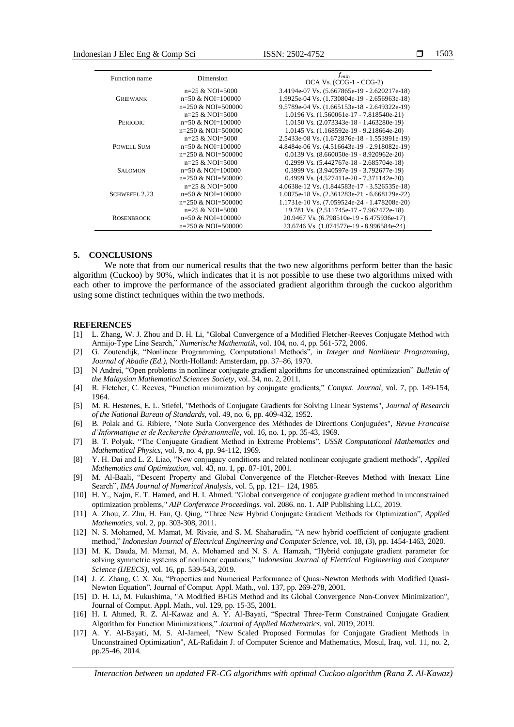| Function name     | Dimension                      | $_{fmin}$<br>OCA Vs. $(CCG-1 - CCG-2)$       |
|-------------------|--------------------------------|----------------------------------------------|
| <b>GRIEWANK</b>   | $n=25$ & NOI=5000              | 3.4194e-07 Vs. (5.667865e-19 - 2.620217e-18) |
|                   | $n=50$ & NOI=100000            | 1.9925e-04 Vs. (1.730804e-19 - 2.656963e-18) |
|                   | $n=250$ & NOI=500000           | 9.5789e-04 Vs. (1.665153e-18 - 2.649322e-19) |
| <b>PERIODIC</b>   | $n=25$ & NOI=5000              | 1.0196 Vs. (1.560061e-17 - 7.818540e-21)     |
|                   | $n=50$ & NOI=100000            | $1.0150$ Vs. $(2.073343e-18 - 1.463280e-19)$ |
|                   | $n=250$ & NOI=500000           | $1.0145$ Vs. $(1.168592e-19 - 9.218664e-20)$ |
| POWELL SUM        | $n=25$ & NOI=5000              | 2.5433e-08 Vs. (1.672876e-18 - 1.553991e-19) |
|                   | $n=50$ & NOI=100000            | 4.8484e-06 Vs. (4.516643e-19 - 2.918082e-19) |
|                   | $n=250$ & NOI=500000           | $0.0139$ Vs. $(8.660050e-19 - 8.920962e-20)$ |
| <b>SALOMON</b>    | $n=25$ & NOI=5000              | $0.2999$ Vs. $(5.442767e-18 - 2.685704e-18)$ |
|                   | $n=50$ & NOI=100000            | $0.3999$ Vs. $(3.940597e-19 - 3.792677e-19)$ |
|                   | $n=250 \& \text{NO}I = 500000$ | $0.4999$ Vs. $(4.527411e-20 - 7.371142e-20)$ |
| SCHWEFEL 2.23     | $n=25$ & NOI=5000              | 4.0638e-12 Vs. (1.844583e-17 - 3.526535e-18) |
|                   | $n=50$ & NOI=100000            | 1.0075e-18 Vs. (2.361283e-21 - 6.668129e-22) |
|                   | $n=250$ & NOI=500000           | 1.1731e-10 Vs. (7.059524e-24 - 1.478208e-20) |
| <b>ROSENBROCK</b> | $n=25$ & NOI=5000              | 19.781 Vs. (2.511745e-17 - 7.962472e-18)     |
|                   | $n=50$ & NOI=100000            | 20.9467 Vs. (6.798510e-19 - 6.475936e-17)    |
|                   | $n=250$ & NOI=500000           | 23.6746 Vs. (1.074577e-19 - 8.996584e-24)    |

## **5. CONCLUSIONS**

We note that from our numerical results that the two new algorithms perform better than the basic algorithm (Cuckoo) by 90%, which indicates that it is not possible to use these two algorithms mixed with each other to improve the performance of the associated gradient algorithm through the cuckoo algorithm using some distinct techniques within the two methods.

#### **REFERENCES**

- [1] L. Zhang, W. J. Zhou and D. H. Li, "Global Convergence of a Modified Fletcher-Reeves Conjugate Method with Armijo-Type Line Search," *Numerische Mathematik*, vol. 104, no. 4, pp. 561-572, 2006.
- [2] G. Zoutendijk, "Nonlinear Programming, Computational Methods", in *Integer and Nonlinear Programming, Journal of Abadie (Ed.)*, North-Holland: Amsterdam, pp. 37–86, 1970.
- [3] N Andrei, "Open problems in nonlinear conjugate gradient algorithms for unconstrained optimization" *Bulletin of the Malaysian Mathematical Sciences Society*, vol. 34, no. 2, 2011.
- [4] R. Fletcher, C. Reeves, "Function minimization by conjugate gradients," *Comput. Journal*, vol. 7, pp. 149-154, 1964.
- [5] M. R. Hestenes, E. L. Stiefel, "Methods of Conjugate Gradients for Solving Linear Systems", *Journal of Research of the National Bureau of Standards*, vol. 49, no. 6, pp. 409-432, 1952.
- [6] B. Polak and G. Ribiere, "Note Surla Convergence des Méthodes de Directions Conjuguées", *Revue Francaise d'Informatique et de Recherche Opérationnelle*, vol. 16, no. 1, pp. 35-43, 1969.
- [7] B. T. Polyak, "The Conjugate Gradient Method in Extreme Problems", *USSR Computational Mathematics and Mathematical Physics*, vol. 9, no. 4, pp. 94-112, 1969.
- [8] Y. H. Dai and L. Z. Liao, "New conjugacy conditions and related nonlinear conjugate gradient methods", *Applied Mathematics and Optimization*, vol. 43, no. 1, pp. 87-101, 2001.
- [9] M. Al-Baali, "Descent Property and Global Convergence of the Fletcher-Reeves Method with Inexact Line Search", *IMA Journal of Numerical Analysis*, vol. 5, pp. 121– 124, 1985.
- [10] H. Y., Najm, E. T. Hamed, and H. I. Ahmed. "Global convergence of conjugate gradient method in unconstrained optimization problems," *AIP Conference Proceedings*. vol. 2086. no. 1. AIP Publishing LLC, 2019.
- [11] A. Zhou, Z. Zhu, H. Fan, Q. Qing, "Three New Hybrid Conjugate Gradient Methods for Optimization", *Applied Mathematics*, vol. 2, pp. 303-308, 2011.
- [12] N. S. Mohamed, M. Mamat, M. Rivaie, and S. M. Shaharudin, "A new hybrid coefficient of conjugate gradient method," *Indonesian Journal of Electrical Engineering and Computer Science*, vol. 18, (3), pp. 1454-1463, 2020.
- [13] M. K. Dauda, M. Mamat, M. A. Mohamed and N. S. A. Hamzah, "Hybrid conjugate gradient parameter for solving symmetric systems of nonlinear equations," *Indonesian Journal of Electrical Engineering and Computer Science (IJEECS)*, vol. 16, pp. 539-543, 2019.
- [14] J. Z. Zhang, C. X. Xu, "Properties and Numerical Performance of Quasi-Newton Methods with Modified Quasi-Newton Equation", Journal of Comput. Appl. Math., vol. 137, pp. 269-278, 2001.
- [15] D. H. Li, M. Fukushima, "A Modified BFGS Method and Its Global Convergence Non-Convex Minimization", Journal of Comput. Appl. Math., vol. 129, pp. 15-35, 2001.
- [16] H. I. Ahmed, R. Z. Al-Kawaz and A. Y. Al-Bayati, "Spectral Three-Term Constrained Conjugate Gradient Algorithm for Function Minimizations," *Journal of Applied Mathematics*, vol. 2019, 2019.
- [17] A. Y. Al-Bayati, M. S. Al-Jameel, "New Scaled Proposed Formulas for Conjugate Gradient Methods in Unconstrained Optimization", AL-Rafidain J. of Computer Science and Mathematics, Mosul, Iraq, vol. 11, no. 2, pp.25-46, 2014.

*Interaction between un updated FR-CG algorithms with optimal Cuckoo algorithm (Rana Z. Al-Kawaz)*